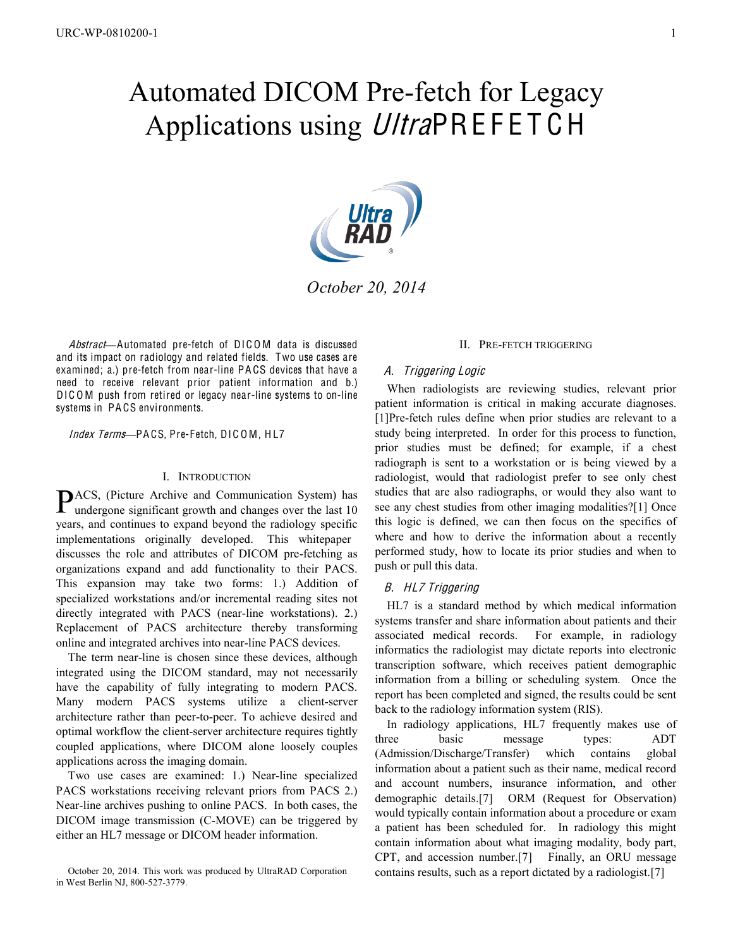# Automated DICOM Pre-fetch for Legacy Applications using UltraPREFETCH



*October 20, 2014*

Abstract—Automated pre-fetch of DICOM data is discussed and its impact on radiology and related fields. Two use cases are examined; a.) pre-fetch from near-line PA CS devices that have a need to receive relevant prior patient information and b.) DICOM push from retired or legacy near-line systems to on-line systems in PA CS environments.

## Index Terms-PACS, Pre-Fetch, DICOM, HL7

# I. INTRODUCTION

ACS, (Picture Archive and Communication System) has PACS, (Picture Archive and Communication System) has undergone significant growth and changes over the last 10 years, and continues to expand beyond the radiology specific implementations originally developed. This whitepaper discusses the role and attributes of DICOM pre-fetching as organizations expand and add functionality to their PACS. This expansion may take two forms: 1.) Addition of specialized workstations and/or incremental reading sites not directly integrated with PACS (near-line workstations). 2.) Replacement of PACS architecture thereby transforming online and integrated archives into near-line PACS devices.

The term near-line is chosen since these devices, although integrated using the DICOM standard, may not necessarily have the capability of fully integrating to modern PACS. Many modern PACS systems utilize a client-server architecture rather than peer-to-peer. To achieve desired and optimal workflow the client-server architecture requires tightly coupled applications, where DICOM alone loosely couples applications across the imaging domain.

Two use cases are examined: 1.) Near-line specialized PACS workstations receiving relevant priors from PACS 2.) Near-line archives pushing to online PACS. In both cases, the DICOM image transmission (C-MOVE) can be triggered by either an HL7 message or DICOM header information.

# II. PRE-FETCH TRIGGERING

## A. Triggering Logi<sup>c</sup>

When radiologists are reviewing studies, relevant prior patient information is critical in making accurate diagnoses. [1]Pre-fetch rules define when prior studies are relevant to a study being interpreted. In order for this process to function, prior studies must be defined; for example, if a chest radiograph is sent to a workstation or is being viewed by a radiologist, would that radiologist prefer to see only chest studies that are also radiographs, or would they also want to see any chest studies from other imaging modalities?[1] Once this logic is defined, we can then focus on the specifics of where and how to derive the information about a recently performed study, how to locate its prior studies and when to push or pull this data.

## B. HL7 Triggering

HL7 is a standard method by which medical information systems transfer and share information about patients and their associated medical records. For example, in radiology informatics the radiologist may dictate reports into electronic transcription software, which receives patient demographic information from a billing or scheduling system. Once the report has been completed and signed, the results could be sent back to the radiology information system (RIS).

In radiology applications, HL7 frequently makes use of three basic message types: ADT (Admission/Discharge/Transfer) which contains global information about a patient such as their name, medical record and account numbers, insurance information, and other demographic details.[7] ORM (Request for Observation) would typically contain information about a procedure or exam a patient has been scheduled for. In radiology this might contain information about what imaging modality, body part, CPT, and accession number.[7] Finally, an ORU message contains results, such as a report dictated by a radiologist.[7]

October 20, 2014. This work was produced by UltraRAD Corporation in West Berlin NJ, 800-527-3779.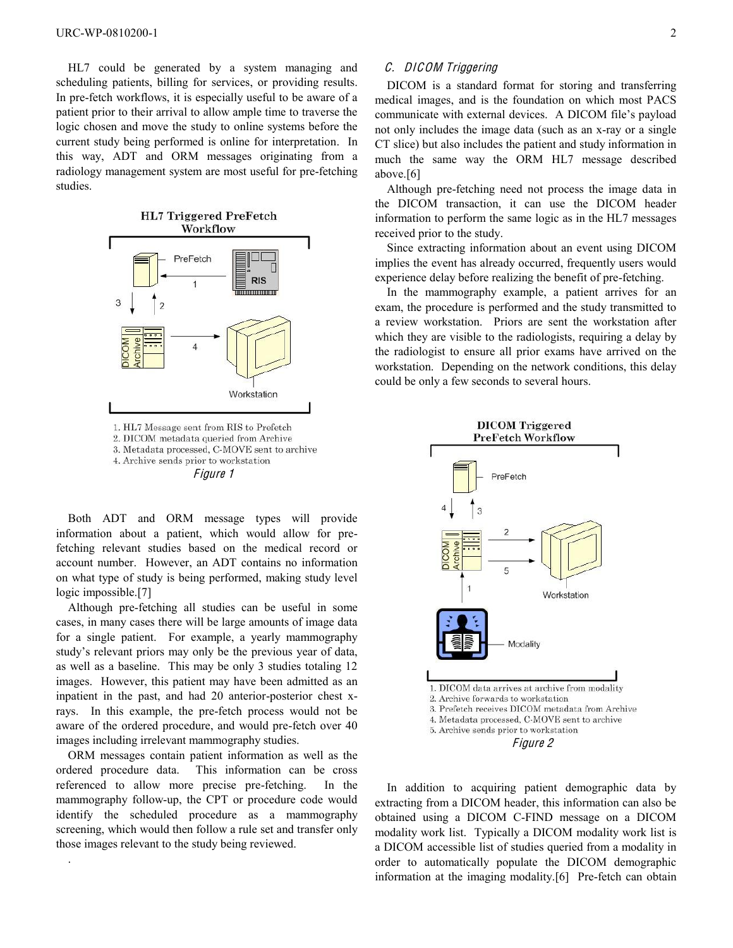HL7 could be generated by a system managing and scheduling patients, billing for services, or providing results. In pre-fetch workflows, it is especially useful to be aware of a patient prior to their arrival to allow ample time to traverse the logic chosen and move the study to online systems before the current study being performed is online for interpretation. In this way, ADT and ORM messages originating from a radiology management system are most useful for pre-fetching studies.



Both ADT and ORM message types will provide information about a patient, which would allow for prefetching relevant studies based on the medical record or account number. However, an ADT contains no information on what type of study is being performed, making study level logic impossible.[7]

Although pre-fetching all studies can be useful in some cases, in many cases there will be large amounts of image data for a single patient. For example, a yearly mammography study's relevant priors may only be the previous year of data, as well as a baseline. This may be only 3 studies totaling 12 images. However, this patient may have been admitted as an inpatient in the past, and had 20 anterior-posterior chest xrays. In this example, the pre-fetch process would not be aware of the ordered procedure, and would pre-fetch over 40 images including irrelevant mammography studies.

ORM messages contain patient information as well as the ordered procedure data. This information can be cross referenced to allow more precise pre-fetching. In the mammography follow-up, the CPT or procedure code would identify the scheduled procedure as a mammography screening, which would then follow a rule set and transfer only those images relevant to the study being reviewed.

.

# C. DICOM Triggering

DICOM is a standard format for storing and transferring medical images, and is the foundation on which most PACS communicate with external devices. A DICOM file's payload not only includes the image data (such as an x-ray or a single CT slice) but also includes the patient and study information in much the same way the ORM HL7 message described above.[6]

Although pre-fetching need not process the image data in the DICOM transaction, it can use the DICOM header information to perform the same logic as in the HL7 messages received prior to the study.

Since extracting information about an event using DICOM implies the event has already occurred, frequently users would experience delay before realizing the benefit of pre-fetching.

In the mammography example, a patient arrives for an exam, the procedure is performed and the study transmitted to a review workstation. Priors are sent the workstation after which they are visible to the radiologists, requiring a delay by the radiologist to ensure all prior exams have arrived on the workstation. Depending on the network conditions, this delay could be only a few seconds to several hours.



In addition to acquiring patient demographic data by extracting from a DICOM header, this information can also be obtained using a DICOM C-FIND message on a DICOM modality work list. Typically a DICOM modality work list is a DICOM accessible list of studies queried from a modality in order to automatically populate the DICOM demographic information at the imaging modality.[6] Pre-fetch can obtain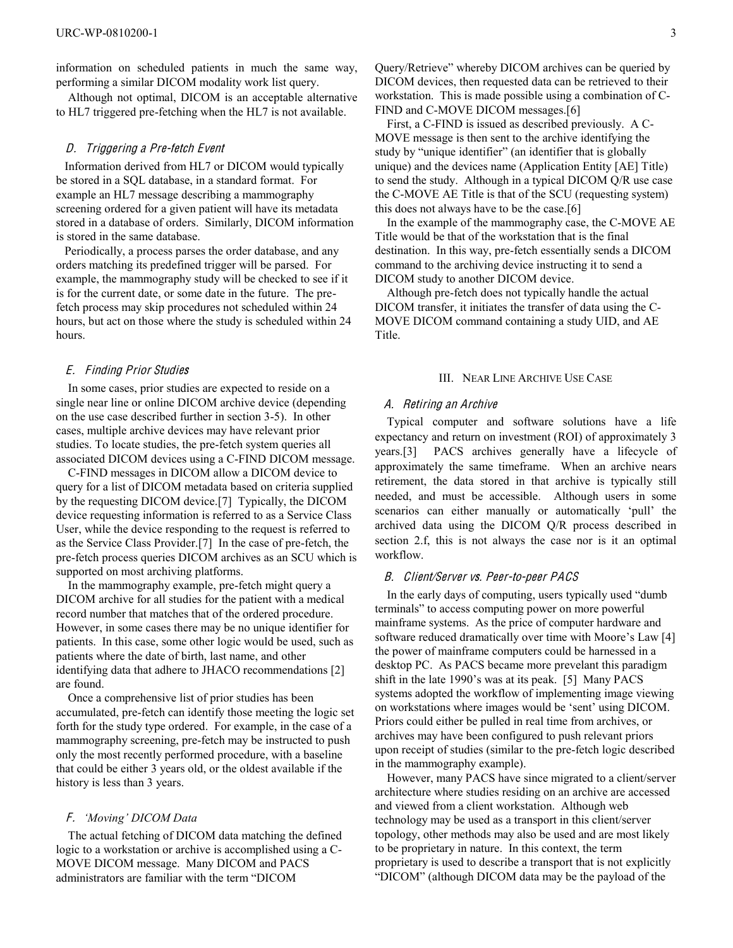information on scheduled patients in much the same way, performing a similar DICOM modality work list query.

Although not optimal, DICOM is an acceptable alternative to HL7 triggered pre-fetching when the HL7 is not available.

## D. Triggering a Pr<sup>e</sup>-fetch Event

Information derived from HL7 or DICOM would typically be stored in a SQL database, in a standard format. For example an HL7 message describing a mammography screening ordered for a given patient will have its metadata stored in a database of orders. Similarly, DICOM information is stored in the same database.

Periodically, a process parses the order database, and any orders matching its predefined trigger will be parsed. For example, the mammography study will be checked to see if it is for the current date, or some date in the future. The prefetch process may skip procedures not scheduled within 24 hours, but act on those where the study is scheduled within 24 hours.

## E. Finding Prior Studie<sup>s</sup>

In some cases, prior studies are expected to reside on a single near line or online DICOM archive device (depending on the use case described further in section 3-5). In other cases, multiple archive devices may have relevant prior studies. To locate studies, the pre-fetch system queries all associated DICOM devices using a C-FIND DICOM message.

C-FIND messages in DICOM allow a DICOM device to query for a list of DICOM metadata based on criteria supplied by the requesting DICOM device.[7] Typically, the DICOM device requesting information is referred to as a Service Class User, while the device responding to the request is referred to as the Service Class Provider.[7] In the case of pre-fetch, the pre-fetch process queries DICOM archives as an SCU which is supported on most archiving platforms.

 In the mammography example, pre-fetch might query a DICOM archive for all studies for the patient with a medical record number that matches that of the ordered procedure. However, in some cases there may be no unique identifier for patients. In this case, some other logic would be used, such as patients where the date of birth, last name, and other identifying data that adhere to JHACO recommendations [2] are found.

 Once a comprehensive list of prior studies has been accumulated, pre-fetch can identify those meeting the logic set forth for the study type ordered. For example, in the case of a mammography screening, pre-fetch may be instructed to push only the most recently performed procedure, with a baseline that could be either 3 years old, or the oldest available if the history is less than 3 years.

## F. *'Moving' DICOM Data*

The actual fetching of DICOM data matching the defined logic to a workstation or archive is accomplished using a C-MOVE DICOM message. Many DICOM and PACS administrators are familiar with the term "DICOM

Query/Retrieve" whereby DICOM archives can be queried by DICOM devices, then requested data can be retrieved to their workstation. This is made possible using a combination of C-FIND and C-MOVE DICOM messages.[6]

 First, a C-FIND is issued as described previously. A C-MOVE message is then sent to the archive identifying the study by "unique identifier" (an identifier that is globally unique) and the devices name (Application Entity [AE] Title) to send the study. Although in a typical DICOM Q/R use case the C-MOVE AE Title is that of the SCU (requesting system) this does not always have to be the case.[6]

 In the example of the mammography case, the C-MOVE AE Title would be that of the workstation that is the final destination. In this way, pre-fetch essentially sends a DICOM command to the archiving device instructing it to send a DICOM study to another DICOM device.

 Although pre-fetch does not typically handle the actual DICOM transfer, it initiates the transfer of data using the C-MOVE DICOM command containing a study UID, and AE Title.

#### III. NEAR LINE ARCHIVE USE CASE

## A. Retiring an Archiv<sup>e</sup>

Typical computer and software solutions have a life expectancy and return on investment (ROI) of approximately 3 years.[3] PACS archives generally have a lifecycle of approximately the same timeframe. When an archive nears retirement, the data stored in that archive is typically still needed, and must be accessible. Although users in some scenarios can either manually or automatically 'pull' the archived data using the DICOM Q/R process described in section 2.f, this is not always the case nor is it an optimal workflow.

# B. Client/Server vs. Peer-to-peer PACS

In the early days of computing, users typically used "dumb terminals" to access computing power on more powerful mainframe systems. As the price of computer hardware and software reduced dramatically over time with Moore's Law [4] the power of mainframe computers could be harnessed in a desktop PC. As PACS became more prevelant this paradigm shift in the late 1990's was at its peak. [5] Many PACS systems adopted the workflow of implementing image viewing on workstations where images would be 'sent' using DICOM. Priors could either be pulled in real time from archives, or archives may have been configured to push relevant priors upon receipt of studies (similar to the pre-fetch logic described in the mammography example).

 However, many PACS have since migrated to a client/server architecture where studies residing on an archive are accessed and viewed from a client workstation. Although web technology may be used as a transport in this client/server topology, other methods may also be used and are most likely to be proprietary in nature. In this context, the term proprietary is used to describe a transport that is not explicitly "DICOM" (although DICOM data may be the payload of the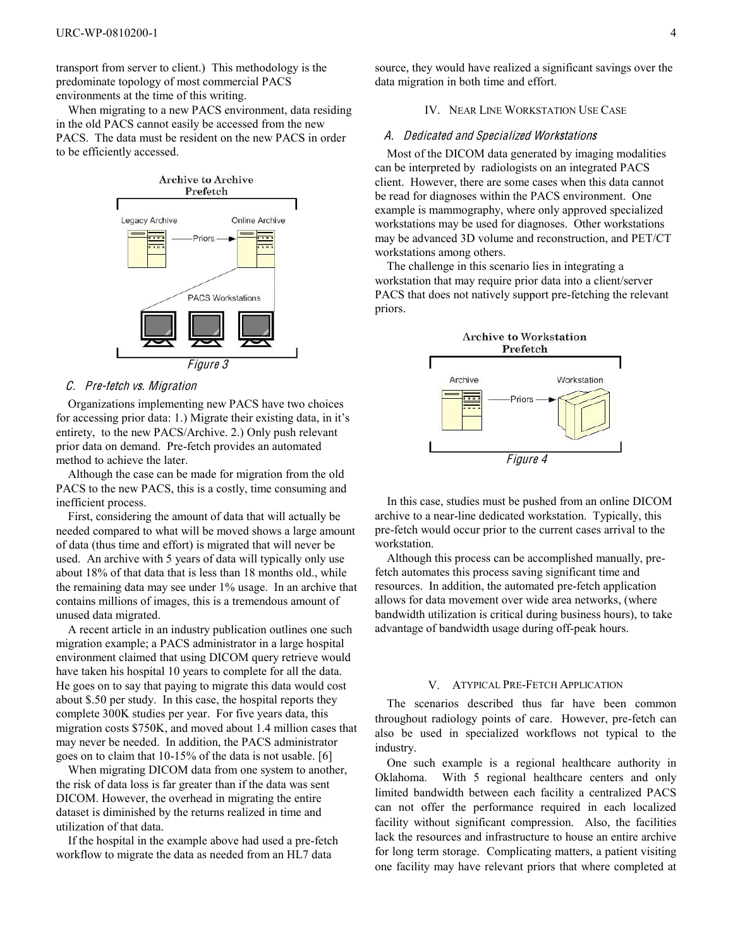transport from server to client.) This methodology is the predominate topology of most commercial PACS environments at the time of this writing.

 When migrating to a new PACS environment, data residing in the old PACS cannot easily be accessed from the new PACS. The data must be resident on the new PACS in order to be efficiently accessed.



## C. Pre-fetch vs. Migration

Organizations implementing new PACS have two choices for accessing prior data: 1.) Migrate their existing data, in it's entirety, to the new PACS/Archive. 2.) Only push relevant prior data on demand. Pre-fetch provides an automated method to achieve the later.

 Although the case can be made for migration from the old PACS to the new PACS, this is a costly, time consuming and inefficient process.

 First, considering the amount of data that will actually be needed compared to what will be moved shows a large amount of data (thus time and effort) is migrated that will never be used. An archive with 5 years of data will typically only use about 18% of that data that is less than 18 months old., while the remaining data may see under 1% usage. In an archive that contains millions of images, this is a tremendous amount of unused data migrated.

 A recent article in an industry publication outlines one such migration example; a PACS administrator in a large hospital environment claimed that using DICOM query retrieve would have taken his hospital 10 years to complete for all the data. He goes on to say that paying to migrate this data would cost about \$.50 per study. In this case, the hospital reports they complete 300K studies per year. For five years data, this migration costs \$750K, and moved about 1.4 million cases that may never be needed. In addition, the PACS administrator goes on to claim that 10-15% of the data is not usable. [6]

 When migrating DICOM data from one system to another, the risk of data loss is far greater than if the data was sent DICOM. However, the overhead in migrating the entire dataset is diminished by the returns realized in time and utilization of that data.

 If the hospital in the example above had used a pre-fetch workflow to migrate the data as needed from an HL7 data

source, they would have realized a significant savings over the data migration in both time and effort.

# IV. NEAR LINE WORKSTATION USE CASE

#### A. Dedicated and Specialized Workstation<sup>s</sup>

Most of the DICOM data generated by imaging modalities can be interpreted by radiologists on an integrated PACS client. However, there are some cases when this data cannot be read for diagnoses within the PACS environment. One example is mammography, where only approved specialized workstations may be used for diagnoses. Other workstations may be advanced 3D volume and reconstruction, and PET/CT workstations among others.

 The challenge in this scenario lies in integrating a workstation that may require prior data into a client/server PACS that does not natively support pre-fetching the relevant priors.



 In this case, studies must be pushed from an online DICOM archive to a near-line dedicated workstation. Typically, this pre-fetch would occur prior to the current cases arrival to the workstation.

 Although this process can be accomplished manually, prefetch automates this process saving significant time and resources. In addition, the automated pre-fetch application allows for data movement over wide area networks, (where bandwidth utilization is critical during business hours), to take advantage of bandwidth usage during off-peak hours.

# V. ATYPICAL PRE-FETCH APPLICATION

The scenarios described thus far have been common throughout radiology points of care. However, pre-fetch can also be used in specialized workflows not typical to the industry.

One such example is a regional healthcare authority in Oklahoma. With 5 regional healthcare centers and only limited bandwidth between each facility a centralized PACS can not offer the performance required in each localized facility without significant compression. Also, the facilities lack the resources and infrastructure to house an entire archive for long term storage. Complicating matters, a patient visiting one facility may have relevant priors that where completed at